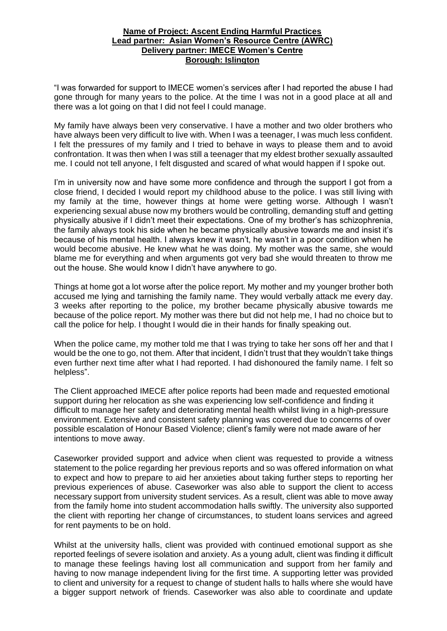## **Name of Project: Ascent Ending Harmful Practices Lead partner: Asian Women's Resource Centre (AWRC) Delivery partner: IMECE Women's Centre Borough: Islington**

"I was forwarded for support to IMECE women's services after I had reported the abuse I had gone through for many years to the police. At the time I was not in a good place at all and there was a lot going on that I did not feel I could manage.

My family have always been very conservative. I have a mother and two older brothers who have always been very difficult to live with. When I was a teenager, I was much less confident. I felt the pressures of my family and I tried to behave in ways to please them and to avoid confrontation. It was then when I was still a teenager that my eldest brother sexually assaulted me. I could not tell anyone, I felt disgusted and scared of what would happen if I spoke out.

I'm in university now and have some more confidence and through the support I got from a close friend, I decided I would report my childhood abuse to the police. I was still living with my family at the time, however things at home were getting worse. Although I wasn't experiencing sexual abuse now my brothers would be controlling, demanding stuff and getting physically abusive if I didn't meet their expectations. One of my brother's has schizophrenia, the family always took his side when he became physically abusive towards me and insist it's because of his mental health. I always knew it wasn't, he wasn't in a poor condition when he would become abusive. He knew what he was doing. My mother was the same, she would blame me for everything and when arguments got very bad she would threaten to throw me out the house. She would know I didn't have anywhere to go.

Things at home got a lot worse after the police report. My mother and my younger brother both accused me lying and tarnishing the family name. They would verbally attack me every day. 3 weeks after reporting to the police, my brother became physically abusive towards me because of the police report. My mother was there but did not help me, I had no choice but to call the police for help. I thought I would die in their hands for finally speaking out.

When the police came, my mother told me that I was trying to take her sons off her and that I would be the one to go, not them. After that incident, I didn't trust that they wouldn't take things even further next time after what I had reported. I had dishonoured the family name. I felt so helpless".

The Client approached IMECE after police reports had been made and requested emotional support during her relocation as she was experiencing low self-confidence and finding it difficult to manage her safety and deteriorating mental health whilst living in a high-pressure environment. Extensive and consistent safety planning was covered due to concerns of over possible escalation of Honour Based Violence; client's family were not made aware of her intentions to move away.

Caseworker provided support and advice when client was requested to provide a witness statement to the police regarding her previous reports and so was offered information on what to expect and how to prepare to aid her anxieties about taking further steps to reporting her previous experiences of abuse. Caseworker was also able to support the client to access necessary support from university student services. As a result, client was able to move away from the family home into student accommodation halls swiftly. The university also supported the client with reporting her change of circumstances, to student loans services and agreed for rent payments to be on hold.

Whilst at the university halls, client was provided with continued emotional support as she reported feelings of severe isolation and anxiety. As a young adult, client was finding it difficult to manage these feelings having lost all communication and support from her family and having to now manage independent living for the first time. A supporting letter was provided to client and university for a request to change of student halls to halls where she would have a bigger support network of friends. Caseworker was also able to coordinate and update